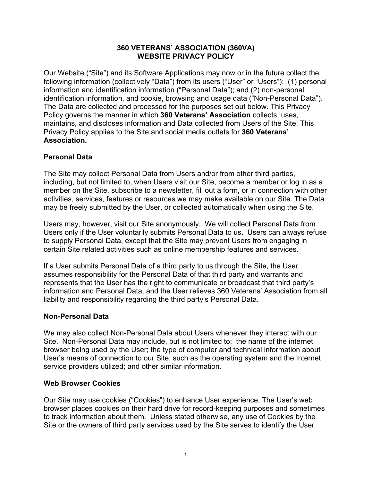#### **360 VETERANS' ASSOCIATION (360VA) WEBSITE PRIVACY POLICY**

Our Website ("Site") and its Software Applications may now or in the future collect the following information (collectively "Data") from its users ("User" or "Users"): (1) personal information and identification information ("Personal Data"); and (2) non-personal identification information, and cookie, browsing and usage data ("Non-Personal Data"). The Data are collected and processed for the purposes set out below. This Privacy Policy governs the manner in which **360 Veterans' Association** collects, uses, maintains, and discloses information and Data collected from Users of the Site. This Privacy Policy applies to the Site and social media outlets for **360 Veterans' Association.**

# **Personal Data**

The Site may collect Personal Data from Users and/or from other third parties, including, but not limited to, when Users visit our Site, become a member or log in as a member on the Site, subscribe to a newsletter, fill out a form, or in connection with other activities, services, features or resources we may make available on our Site. The Data may be freely submitted by the User, or collected automatically when using the Site.

Users may, however, visit our Site anonymously. We will collect Personal Data from Users only if the User voluntarily submits Personal Data to us. Users can always refuse to supply Personal Data, except that the Site may prevent Users from engaging in certain Site related activities such as online membership features and services.

If a User submits Personal Data of a third party to us through the Site, the User assumes responsibility for the Personal Data of that third party and warrants and represents that the User has the right to communicate or broadcast that third party's information and Personal Data, and the User relieves 360 Veterans' Association from all liability and responsibility regarding the third party's Personal Data.

## **Non-Personal Data**

We may also collect Non-Personal Data about Users whenever they interact with our Site. Non-Personal Data may include, but is not limited to: the name of the internet browser being used by the User; the type of computer and technical information about User's means of connection to our Site, such as the operating system and the Internet service providers utilized; and other similar information.

#### **Web Browser Cookies**

Our Site may use cookies ("Cookies") to enhance User experience. The User's web browser places cookies on their hard drive for record-keeping purposes and sometimes to track information about them. Unless stated otherwise, any use of Cookies by the Site or the owners of third party services used by the Site serves to identify the User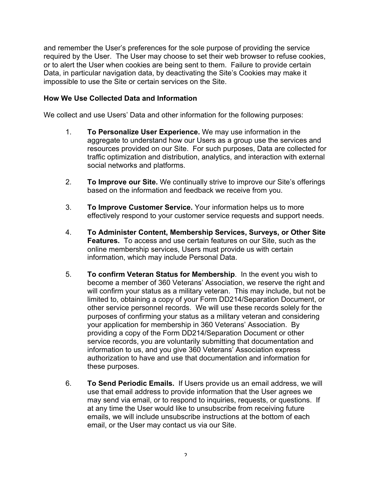and remember the User's preferences for the sole purpose of providing the service required by the User. The User may choose to set their web browser to refuse cookies, or to alert the User when cookies are being sent to them. Failure to provide certain Data, in particular navigation data, by deactivating the Site's Cookies may make it impossible to use the Site or certain services on the Site.

## **How We Use Collected Data and Information**

We collect and use Users' Data and other information for the following purposes:

- 1. **To Personalize User Experience.** We may use information in the aggregate to understand how our Users as a group use the services and resources provided on our Site. For such purposes, Data are collected for traffic optimization and distribution, analytics, and interaction with external social networks and platforms.
- 2. **To Improve our Site.** We continually strive to improve our Site's offerings based on the information and feedback we receive from you.
- 3. **To Improve Customer Service.** Your information helps us to more effectively respond to your customer service requests and support needs.
- 4. **To Administer Content, Membership Services, Surveys, or Other Site Features.** To access and use certain features on our Site, such as the online membership services, Users must provide us with certain information, which may include Personal Data.
- 5. **To confirm Veteran Status for Membership**. In the event you wish to become a member of 360 Veterans' Association, we reserve the right and will confirm your status as a military veteran. This may include, but not be limited to, obtaining a copy of your Form DD214/Separation Document, or other service personnel records. We will use these records solely for the purposes of confirming your status as a military veteran and considering your application for membership in 360 Veterans' Association. By providing a copy of the Form DD214/Separation Document or other service records, you are voluntarily submitting that documentation and information to us, and you give 360 Veterans' Association express authorization to have and use that documentation and information for these purposes.
- 6. **To Send Periodic Emails.** If Users provide us an email address, we will use that email address to provide information that the User agrees we may send via email, or to respond to inquiries, requests, or questions. If at any time the User would like to unsubscribe from receiving future emails, we will include unsubscribe instructions at the bottom of each email, or the User may contact us via our Site.